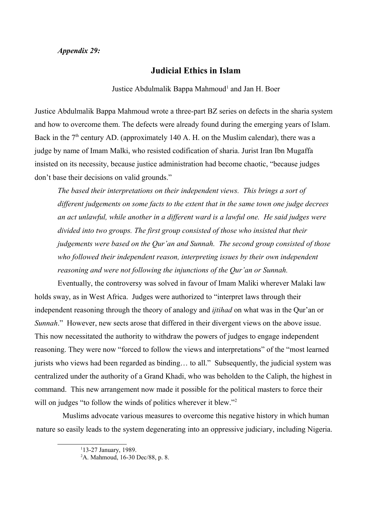## **Judicial Ethics in Islam**

Justice Abdulmalik Bappa Mahmoud<sup>[1](#page-0-0)</sup> and Jan H. Boer

Justice Abdulmalik Bappa Mahmoud wrote a three-part BZ series on defects in the sharia system and how to overcome them. The defects were already found during the emerging years of Islam. Back in the  $7<sup>th</sup>$  century AD. (approximately 140 A. H. on the Muslim calendar), there was a judge by name of Imam Malki, who resisted codification of sharia. Jurist Iran Ibn Mugaffa insisted on its necessity, because justice administration had become chaotic, "because judges don't base their decisions on valid grounds."

*The based their interpretations on their independent views. This brings a sort of different judgements on some facts to the extent that in the same town one judge decrees an act unlawful, while another in a different ward is a lawful one. He said judges were divided into two groups. The first group consisted of those who insisted that their judgements were based on the Qur'an and Sunnah. The second group consisted of those*  who followed their independent reason, interpreting issues by their own independent *reasoning and were not following the injunctions of the Qur'an or Sunnah.*

Eventually, the controversy was solved in favour of Imam Maliki wherever Malaki law holds sway, as in West Africa. Judges were authorized to "interpret laws through their independent reasoning through the theory of analogy and *ijtihad* on what was in the Qur'an or *Sunnah*." However, new sects arose that differed in their divergent views on the above issue. This now necessitated the authority to withdraw the powers of judges to engage independent reasoning. They were now "forced to follow the views and interpretations" of the "most learned jurists who views had been regarded as binding… to all." Subsequently, the judicial system was centralized under the authority of a Grand Khadi, who was beholden to the Caliph, the highest in command. This new arrangement now made it possible for the political masters to force their will on judges "to follow the winds of politics wherever it blew."<sup>[2](#page-0-1)</sup>

Muslims advocate various measures to overcome this negative history in which human nature so easily leads to the system degenerating into an oppressive judiciary, including Nigeria.

<span id="page-0-0"></span><sup>1</sup> 13-27 January, 1989.

<span id="page-0-1"></span><sup>2</sup>A. Mahmoud, 16-30 Dec/88, p. 8.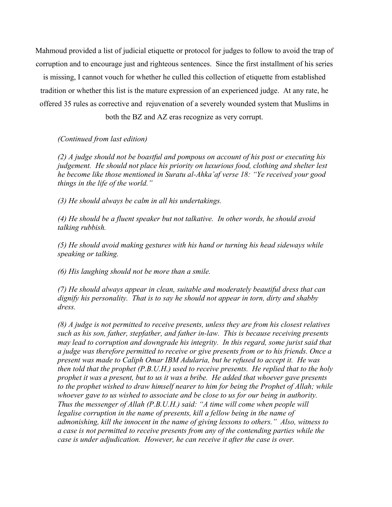Mahmoud provided a list of judicial etiquette or protocol for judges to follow to avoid the trap of corruption and to encourage just and righteous sentences. Since the first installment of his series

is missing, I cannot vouch for whether he culled this collection of etiquette from established tradition or whether this list is the mature expression of an experienced judge. At any rate, he offered 35 rules as corrective and rejuvenation of a severely wounded system that Muslims in

both the BZ and AZ eras recognize as very corrupt.

*(Continued from last edition)*

*(2) A judge should not be boastful and pompous on account of his post or executing his judgement. He should not place his priority on luxurious food, clothing and shelter lest he become like those mentioned in Suratu al-Ahka'af verse 18: "Ye received your good things in the life of the world."*

*(3) He should always be calm in all his undertakings.*

*(4) He should be a fluent speaker but not talkative. In other words, he should avoid talking rubbish.*

*(5) He should avoid making gestures with his hand or turning his head sideways while speaking or talking.*

*(6) His laughing should not be more than a smile.*

*(7) He should always appear in clean, suitable and moderately beautiful dress that can dignify his personality. That is to say he should not appear in torn, dirty and shabby dress.*

*(8) A judge is not permitted to receive presents, unless they are from his closest relatives such as his son, father, stepfather, and father in-law. This is because receiving presents may lead to corruption and downgrade his integrity. In this regard, some jurist said that a judge was therefore permitted to receive or give presents from or to his friends. Once a present was made to Caliph Omar IBM Adularia, but he refused to accept it. He was then told that the prophet (P.B.U.H.) used to receive presents. He replied that to the holy prophet it was a present, but to us it was a bribe. He added that whoever gave presents to the prophet wished to draw himself nearer to him for being the Prophet of Allah; while whoever gave to us wished to associate and be close to us for our being in authority. Thus the messenger of Allah (P.B.U.H.) said: "A time will come when people will*  legalise corruption in the name of presents, kill a fellow being in the name of *admonishing, kill the innocent in the name of giving lessons to others." Also, witness to a case is not permitted to receive presents from any of the contending parties while the case is under adjudication. However, he can receive it after the case is over.*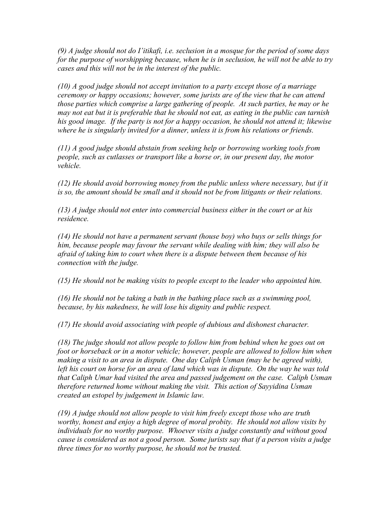*(9) A judge should not do I'itikafi, i.e. seclusion in a mosque for the period of some days for the purpose of worshipping because, when he is in seclusion, he will not be able to try cases and this will not be in the interest of the public.*

*(10) A good judge should not accept invitation to a party except those of a marriage ceremony or happy occasions; however, some jurists are of the view that he can attend those parties which comprise a large gathering of people. At such parties, he may or he may not eat but it is preferable that he should not eat, as eating in the public can tarnish his good image. If the party is not for a happy occasion, he should not attend it; likewise where he is singularly invited for a dinner, unless it is from his relations or friends.*

*(11) A good judge should abstain from seeking help or borrowing working tools from people, such as cutlasses or transport like a horse or, in our present day, the motor vehicle.*

*(12) He should avoid borrowing money from the public unless where necessary, but if it is so, the amount should be small and it should not be from litigants or their relations.*

*(13) A judge should not enter into commercial business either in the court or at his residence.*

*(14) He should not have a permanent servant (house boy) who buys or sells things for him, because people may favour the servant while dealing with him; they will also be afraid of taking him to court when there is a dispute between them because of his connection with the judge.*

*(15) He should not be making visits to people except to the leader who appointed him.*

*(16) He should not be taking a bath in the bathing place such as a swimming pool, because, by his nakedness, he will lose his dignity and public respect.*

*(17) He should avoid associating with people of dubious and dishonest character.*

*(18) The judge should not allow people to follow him from behind when he goes out on foot or horseback or in a motor vehicle; however, people are allowed to follow him when making a visit to an area in dispute. One day Caliph Usman (may he be agreed with), left his court on horse for an area of land which was in dispute. On the way he was told that Caliph Umar had visited the area and passed judgement on the case. Caliph Usman therefore returned home without making the visit. This action of Sayyidina Usman created an estopel by judgement in Islamic law.*

*(19) A judge should not allow people to visit him freely except those who are truth worthy, honest and enjoy a high degree of moral probity. He should not allow visits by individuals for no worthy purpose. Whoever visits a judge constantly and without good cause is considered as not a good person. Some jurists say that if a person visits a judge three times for no worthy purpose, he should not be trusted.*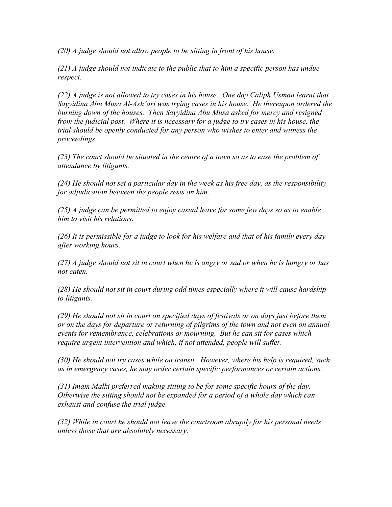*(20) A judge should not allow people to be sitting in front of his house.*

*(21) A judge should not indicate to the public that to him a specific person has undue respect.*

*(22) A judge is not allowed to try cases in his house. One day Caliph Usman learnt that Sayyidina Abu Musa Al-Ash'ari was trying cases in his house. He thereupon ordered the burning down of the houses. Then Sayyidina Abu Musa asked for mercy and resigned from the judicial post. Where it is necessary for a judge to try cases in his house, the trial should be openly conducted for any person who wishes to enter and witness the proceedings.*

*(23) The court should be situated in the centre of a town so as to ease the problem of attendance by litigants.*

*(24) He should not set a particular day in the week as his free day, as the responsibility for adjudication between the people rests on him.*

*(25) A judge can be permitted to enjoy casual leave for some few days so as to enable him to visit his relations.*

*(26) It is permissible for a judge to look for his welfare and that of his family every day after working hours.*

*(27) A judge should not sit in court when he is angry or sad or when he is hungry or has not eaten.*

*(28) He should not sit in court during odd times especially where it will cause hardship to litigants.*

*(29) He should not sit in court on specified days of festivals or on days just before them or on the days for departure or returning of pilgrims of the town and not even on annual events for remembrance, celebrations or mourning. But he can sit for cases which require urgent intervention and which, if not attended, people will suffer.*

*(30) He should not try cases while on transit. However, where his help is required, such as in emergency cases, he may order certain specific performances or certain actions.*

*(31) Imam Malki preferred making sitting to be for some specific hours of the day. Otherwise the sitting should not be expanded for a period of a whole day which can exhaust and confuse the trial judge.*

*(32) While in court he should not leave the courtroom abruptly for his personal needs unless those that are absolutely necessary.*